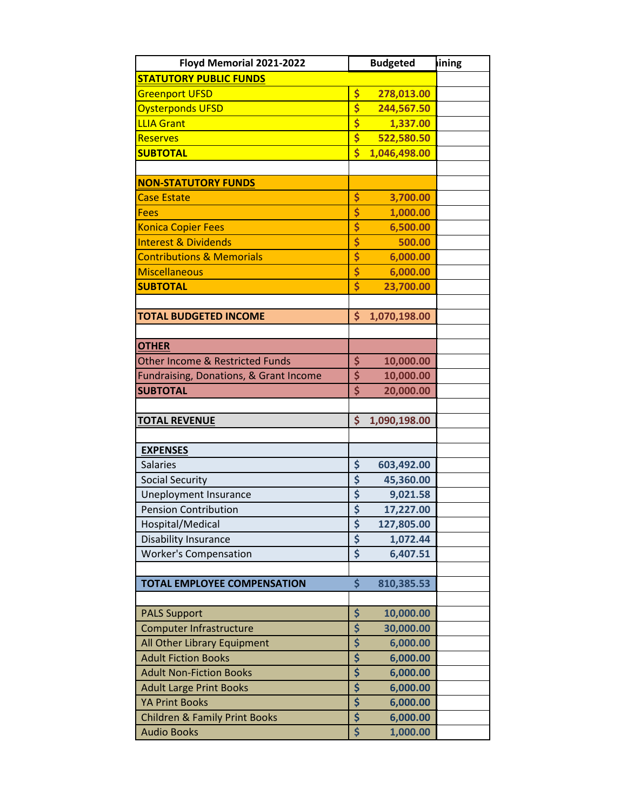| Floyd Memorial 2021-2022                   |                         | <b>Budgeted</b> | ining |
|--------------------------------------------|-------------------------|-----------------|-------|
| <b>STATUTORY PUBLIC FUNDS</b>              |                         |                 |       |
| <b>Greenport UFSD</b>                      | \$                      | 278,013.00      |       |
| <b>Oysterponds UFSD</b>                    | \$                      | 244,567.50      |       |
| <b>LLIA Grant</b>                          | \$                      | 1,337.00        |       |
| <b>Reserves</b>                            | \$                      | 522,580.50      |       |
| <b>SUBTOTAL</b>                            | $\overline{\mathsf{s}}$ | 1,046,498.00    |       |
|                                            |                         |                 |       |
| <b>NON-STATUTORY FUNDS</b>                 |                         |                 |       |
| <b>Case Estate</b>                         | \$                      | 3,700.00        |       |
| <b>Fees</b>                                | \$                      | 1,000.00        |       |
| <b>Konica Copier Fees</b>                  | \$                      | 6,500.00        |       |
| <b>Interest &amp; Dividends</b>            | \$                      | 500.00          |       |
| <b>Contributions &amp; Memorials</b>       | \$                      | 6,000.00        |       |
| <b>Miscellaneous</b>                       | \$                      | 6,000.00        |       |
| <b>SUBTOTAL</b>                            | \$                      | 23,700.00       |       |
|                                            |                         |                 |       |
| <b>TOTAL BUDGETED INCOME</b>               | \$                      | 1,070,198.00    |       |
|                                            |                         |                 |       |
| <b>OTHER</b>                               |                         |                 |       |
| <b>Other Income &amp; Restricted Funds</b> | \$                      | 10,000.00       |       |
| Fundraising, Donations, & Grant Income     | \$                      | 10,000.00       |       |
| <b>SUBTOTAL</b>                            | \$                      | 20,000.00       |       |
|                                            |                         |                 |       |
| <b>TOTAL REVENUE</b>                       | \$                      | 1,090,198.00    |       |
|                                            |                         |                 |       |
| <b>EXPENSES</b>                            |                         |                 |       |
| <b>Salaries</b>                            | \$                      | 603,492.00      |       |
| <b>Social Security</b>                     | \$                      | 45,360.00       |       |
| <b>Uneployment Insurance</b>               | \$                      | 9,021.58        |       |
| <b>Pension Contribution</b>                | \$                      | 17,227.00       |       |
| Hospital/Medical                           | \$                      | 127,805.00      |       |
| Disability Insurance                       | \$                      | 1,072.44        |       |
| <b>Worker's Compensation</b>               | \$                      | 6,407.51        |       |
|                                            |                         |                 |       |
| <b>TOTAL EMPLOYEE COMPENSATION</b>         | \$                      | 810,385.53      |       |
|                                            |                         |                 |       |
| <b>PALS Support</b>                        | \$                      | 10,000.00       |       |
| <b>Computer Infrastructure</b>             | \$                      | 30,000.00       |       |
| All Other Library Equipment                | \$                      | 6,000.00        |       |
| <b>Adult Fiction Books</b>                 | \$                      | 6,000.00        |       |
| <b>Adult Non-Fiction Books</b>             | \$                      | 6,000.00        |       |
| <b>Adult Large Print Books</b>             | \$                      | 6,000.00        |       |
| <b>YA Print Books</b>                      | \$                      | 6,000.00        |       |
| <b>Children &amp; Family Print Books</b>   | \$                      | 6,000.00        |       |
| <b>Audio Books</b>                         | \$                      | 1,000.00        |       |